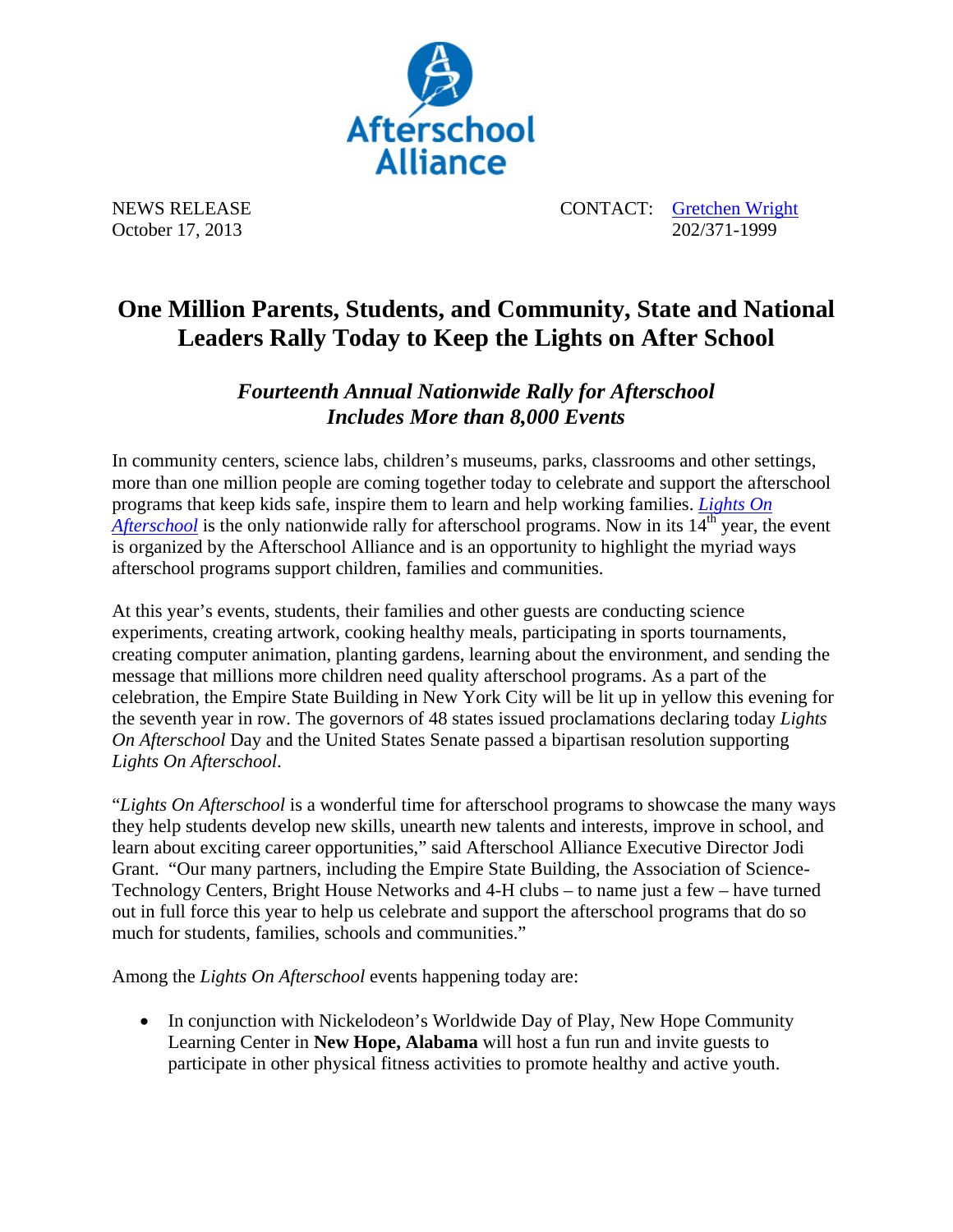

NEWS RELEASE CONTACT: Gretchen Wright October 17, 2013 202/371-1999

## **One Million Parents, Students, and Community, State and National Leaders Rally Today to Keep the Lights on After School**

*Fourteenth Annual Nationwide Rally for Afterschool Includes More than 8,000 Events* 

In community centers, science labs, children's museums, parks, classrooms and other settings, more than one million people are coming together today to celebrate and support the afterschool programs that keep kids safe, inspire them to learn and help working families. *Lights On Afterschool* is the only nationwide rally for afterschool programs. Now in its 14<sup>th</sup> year, the event is organized by the Afterschool Alliance and is an opportunity to highlight the myriad ways afterschool programs support children, families and communities.

At this year's events, students, their families and other guests are conducting science experiments, creating artwork, cooking healthy meals, participating in sports tournaments, creating computer animation, planting gardens, learning about the environment, and sending the message that millions more children need quality afterschool programs. As a part of the celebration, the Empire State Building in New York City will be lit up in yellow this evening for the seventh year in row. The governors of 48 states issued proclamations declaring today *Lights On Afterschool* Day and the United States Senate passed a bipartisan resolution supporting *Lights On Afterschool*.

"*Lights On Afterschool* is a wonderful time for afterschool programs to showcase the many ways they help students develop new skills, unearth new talents and interests, improve in school, and learn about exciting career opportunities," said Afterschool Alliance Executive Director Jodi Grant. "Our many partners, including the Empire State Building, the Association of Science-Technology Centers, Bright House Networks and 4-H clubs – to name just a few – have turned out in full force this year to help us celebrate and support the afterschool programs that do so much for students, families, schools and communities."

Among the *Lights On Afterschool* events happening today are:

• In conjunction with Nickelodeon's Worldwide Day of Play, New Hope Community Learning Center in **New Hope, Alabama** will host a fun run and invite guests to participate in other physical fitness activities to promote healthy and active youth.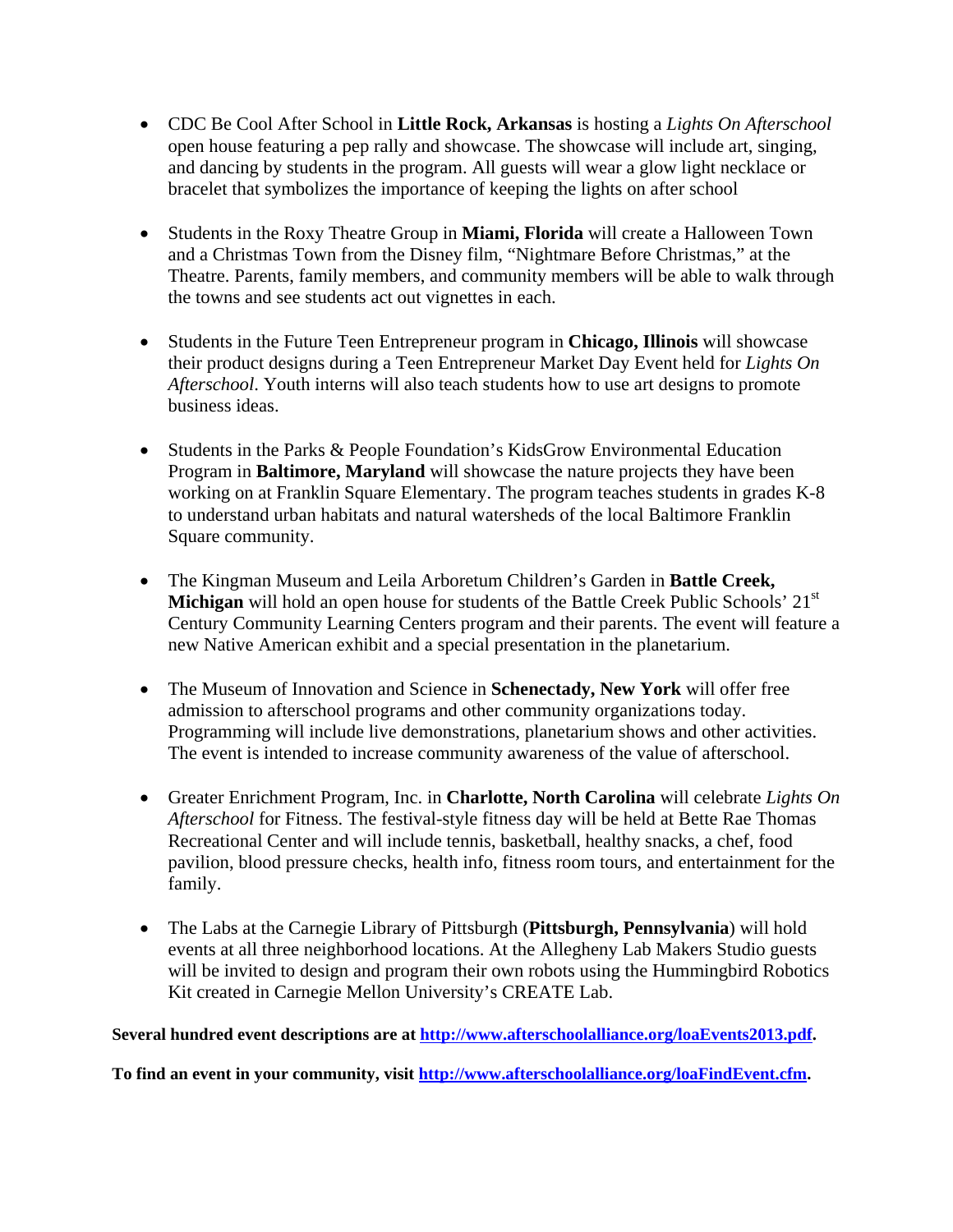- CDC Be Cool After School in **Little Rock, Arkansas** is hosting a *Lights On Afterschool*  open house featuring a pep rally and showcase. The showcase will include art, singing, and dancing by students in the program. All guests will wear a glow light necklace or bracelet that symbolizes the importance of keeping the lights on after school
- Students in the Roxy Theatre Group in **Miami, Florida** will create a Halloween Town and a Christmas Town from the Disney film, "Nightmare Before Christmas," at the Theatre. Parents, family members, and community members will be able to walk through the towns and see students act out vignettes in each.
- Students in the Future Teen Entrepreneur program in **Chicago, Illinois** will showcase their product designs during a Teen Entrepreneur Market Day Event held for *Lights On Afterschool*. Youth interns will also teach students how to use art designs to promote business ideas.
- Students in the Parks & People Foundation's KidsGrow Environmental Education Program in **Baltimore, Maryland** will showcase the nature projects they have been working on at Franklin Square Elementary. The program teaches students in grades K-8 to understand urban habitats and natural watersheds of the local Baltimore Franklin Square community.
- The Kingman Museum and Leila Arboretum Children's Garden in **Battle Creek, Michigan** will hold an open house for students of the Battle Creek Public Schools' 21<sup>st</sup> Century Community Learning Centers program and their parents. The event will feature a new Native American exhibit and a special presentation in the planetarium.
- The Museum of Innovation and Science in **Schenectady, New York** will offer free admission to afterschool programs and other community organizations today. Programming will include live demonstrations, planetarium shows and other activities. The event is intended to increase community awareness of the value of afterschool.
- Greater Enrichment Program, Inc. in **Charlotte, North Carolina** will celebrate *Lights On Afterschool* for Fitness. The festival-style fitness day will be held at Bette Rae Thomas Recreational Center and will include tennis, basketball, healthy snacks, a chef, food pavilion, blood pressure checks, health info, fitness room tours, and entertainment for the family.
- The Labs at the Carnegie Library of Pittsburgh (**Pittsburgh, Pennsylvania**) will hold events at all three neighborhood locations. At the Allegheny Lab Makers Studio guests will be invited to design and program their own robots using the Hummingbird Robotics Kit created in Carnegie Mellon University's CREATE Lab.

**Several hundred event descriptions are at http://www.afterschoolalliance.org/loaEvents2013.pdf.** 

**To find an event in your community, visit http://www.afterschoolalliance.org/loaFindEvent.cfm.**